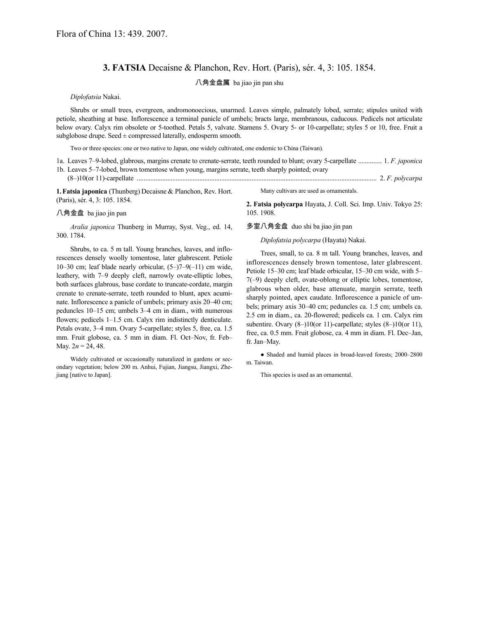## **3. FATSIA** Decaisne & Planchon, Rev. Hort. (Paris), sér. 4, 3: 105. 1854.

八角金盘属 ba jiao jin pan shu

*Diplofatsia* Nakai.

Shrubs or small trees, evergreen, andromonoecious, unarmed. Leaves simple, palmately lobed, serrate; stipules united with petiole, sheathing at base. Inflorescence a terminal panicle of umbels; bracts large, membranous, caducous. Pedicels not articulate below ovary. Calyx rim obsolete or 5-toothed. Petals 5, valvate. Stamens 5. Ovary 5- or 10-carpellate; styles 5 or 10, free. Fruit a subglobose drupe. Seed  $\pm$  compressed laterally, endosperm smooth.

Two or three species: one or two native to Japan, one widely cultivated, one endemic to China (Taiwan).

- 1a. Leaves 7–9-lobed, glabrous, margins crenate to crenate-serrate, teeth rounded to blunt; ovary 5-carpellate .............. 1. *F. japonica* 1b. Leaves 5–7-lobed, brown tomentose when young, margins serrate, teeth sharply pointed; ovary
- (8–)10(or 11)-carpellate .............................................................................................................................................. 2. *F. polycarpa*

**1.Fatsia japonica** (Thunberg) Decaisne & Planchon, Rev. Hort. (Paris), sér. 4, 3: 105. 1854.

## 八角金盘 ba jiao jin pan

*Aralia japonica* Thunberg in Murray, Syst. Veg., ed. 14, 300. 1784.

Shrubs, to ca. 5 m tall. Young branches, leaves, and inflorescences densely woolly tomentose, later glabrescent. Petiole 10–30 cm; leaf blade nearly orbicular, (5–)7–9(–11) cm wide, leathery, with 7–9 deeply cleft, narrowly ovate-elliptic lobes, both surfaces glabrous, base cordate to truncate-cordate, margin crenate to crenate-serrate, teeth rounded to blunt, apex acuminate. Inflorescence a panicle of umbels; primary axis 20–40 cm; peduncles 10–15 cm; umbels 3–4 cm in diam., with numerous flowers; pedicels 1–1.5 cm. Calyx rim indistinctly denticulate. Petals ovate, 3–4 mm. Ovary 5-carpellate; styles 5, free, ca. 1.5 mm. Fruit globose, ca. 5 mm in diam. Fl. Oct–Nov, fr. Feb– May.  $2n = 24, 48$ .

Widely cultivated or occasionally naturalized in gardens or secondary vegetation; below 200 m. Anhui, Fujian, Jiangsu, Jiangxi, Zhejiang [native to Japan].

Many cultivars are used as ornamentals.

**2. Fatsia polycarpa** Hayata, J. Coll. Sci. Imp. Univ. Tokyo 25: 105. 1908.

多室八角金盘 duo shi ba jiao jin pan

*Diplofatsia polycarpa* (Hayata) Nakai.

Trees, small, to ca. 8 m tall. Young branches, leaves, and inflorescences densely brown tomentose, later glabrescent. Petiole 15–30 cm; leaf blade orbicular, 15–30 cm wide, with 5– 7(–9) deeply cleft, ovate-oblong or elliptic lobes, tomentose, glabrous when older, base attenuate, margin serrate, teeth sharply pointed, apex caudate. Inflorescence a panicle of umbels; primary axis 30–40 cm; peduncles ca. 1.5 cm; umbels ca. 2.5 cm in diam., ca. 20-flowered; pedicels ca. 1 cm. Calyx rim subentire. Ovary (8–)10(or 11)-carpellate; styles (8–)10(or 11), free, ca. 0.5 mm. Fruit globose, ca. 4 mm in diam. Fl. Dec–Jan, fr. Jan–May.

● Shaded and humid places in broad-leaved forests; 2000–2800 m. Taiwan.

This species is used as an ornamental.